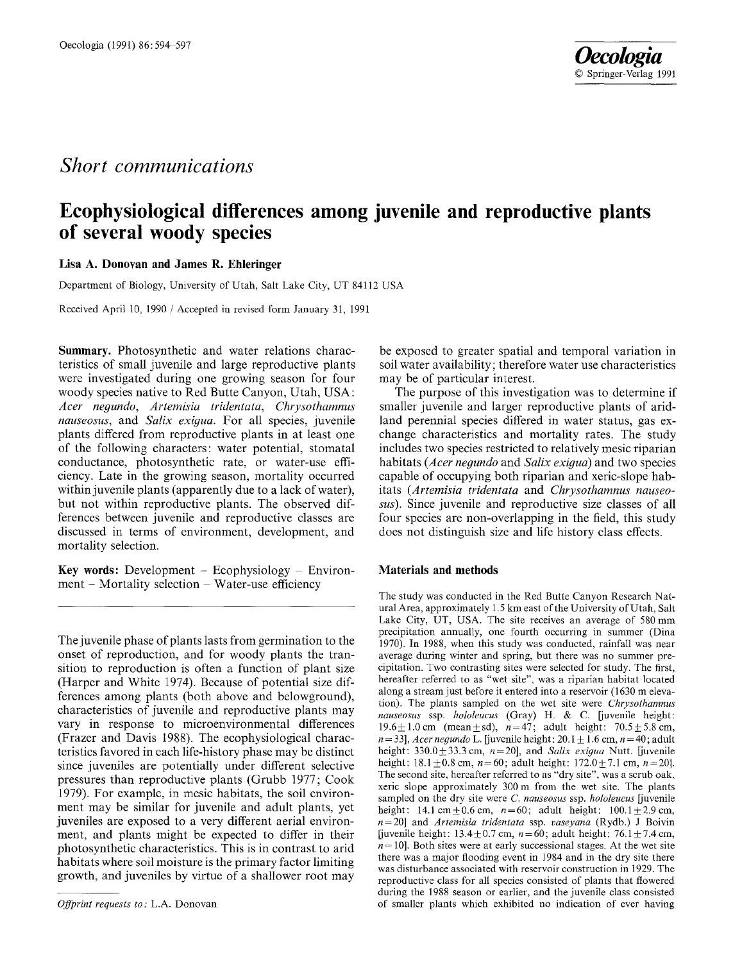# *Short communications*

# Oecologia (1991) 86:594-597 *Oecologia*  9 Springer-Verlag 1991

# **Ecophysiological differences among juvenile and reproductive plants of several woody species**

## **Lisa A. Donovan and James R. Ehleringer**

Department of Biology, University of Utah, Salt Lake City, UT 84112 USA

Received April 10, 1990 / Accepted in revised form January 31, 1991

**Summary.** Photosynthetic and water relations characteristics of small juvenile and large reproductive plants were investigated during one growing season for four woody species native to Red Butte Canyon, Utah, USA: *Acer negundo , Artemisia tridentata, Chrysothamnus nauseosus,* and *Salix exigua.* For all species, juvenile plants differed from reproductive plants in at least one of the following characters: water potential, stomatal conductance, photosynthetic rate, or water-use efficiency. Late in the growing season, mortality occurred within juvenile plants (apparently due to a lack of water), but not within reproductive plants. The observed differences between juvenile and reproductive classes are discussed in terms of environment, development, and mortality selection.

**Key words:** Development  $-$  Ecophysiology  $-$  Environment - Mortality selection - Water-use efficiency

The juvenile phase of plants lasts from germination to the onset of reproduction, and for woody plants the transition to reproduction is often a function of plant size (Harper and White 1974). Because of potential size differences among plants (both above and belowground), characteristics of juvenile and reproductive plants may vary in response to microenvironmental differences (Frazer and Davis 1988). The ecophysiological characteristics favored in each life-history phase may be distinct since juveniles are potentially under different selective pressures than reproductive plants (Grubb 1977; Cook 1979). For example, in mesic habitats, the soil environment may be similar for juvenile and adult plants, yet juveniles are exposed to a very different aerial environment, and plants might be expected to differ in their photosynthetic characteristics. This is in contrast to arid habitats where soil moisture is the primary factor limiting growth, and juveniles by virtue of a shallower root may

be exposed to greater spatial and temporal variation in soil water availability; therefore water use characteristics may be of particular interest.

The purpose of this investigation was to determine if smaller juvenile and larger reproductive plants of aridland perennial species differed in water status, gas exchange characteristics and mortality rates. The study includes two species restricted to relatively mesic riparian habitats *(Acer negundo* and *Salix exigua)* and two species capable of occupying both riparian and xeric-slope habitats *(Artemisia tridentata* and *Chrysothamnus nauseosus).* Since juvenile and reproductive size classes of all four species are non-overlapping in the field, this study does not distinguish size and life history class effects.

### **Materials and methods**

The study was conducted in the Red Butte Canyon Research Natural Area, approximately 1.5 km east of the University of Utah, Salt Lake City, UT, USA. The site receives an average of 580 mm precipitation annually, one fourth occurring in summer (Dina 1970). In 1988, when this study was conducted, rainfall was near average during winter and spring, but there was no summer precipitation. Two contrasting sites were selected for study. The first, hereafter referred to as "wet site", was a riparian habitat located along a stream just before it entered into a reservoir (1630 m elevation). The plants sampled on the wet site were *Chrysothamnus nauseosus* ssp. *hololeucus* (Gray) H. & C. [juvenile height: 19.6 $\pm$ 1.0 cm (mean  $\pm$  sd), n=47; adult height: 70.5 $\pm$ 5.8 cm,  $n = 33$ , *Acer negundo* L. [juvenile height:  $20.1 \pm 1.6$  cm,  $n = 40$ ; adult height:  $330.0 \pm 33.3$  cm,  $n=20$ ], and *Salix exigua* Nutt. [juvenile height:  $18.1 \pm 0.8$  cm,  $n=60$ ; adult height:  $172.0 + 7.1$  cm,  $n=20$ . The second site, hereafter referred to as "dry site", was a scrub oak, xeric slope approximately 300m from the wet site. The plants sampled on the dry site were *C. nauseosus* ssp. *hololeueus* [juvenile height: 14.1 cm  $\pm$  0.6 cm, n=60; adult height: 100.1  $\pm$  2.9 cm, n=20] and *Artemisia tridentata* ssp. *vaseyana* (Rydb.) J Boivin [juvenile height:  $13.4 + 0.7$  cm,  $n=60$ ; adult height: 76.1 + 7.4 cm,  $n = 10$ . Both sites were at early successional stages. At the wet site there was a major flooding event in 1984 and in the dry site there was disturbance associated with reservoir construction in 1929. The reproductive class for all species consisted of plants that flowered during the 1988 season or earlier, and the juvenile class consisted of smaller plants which exhibited no indication of ever having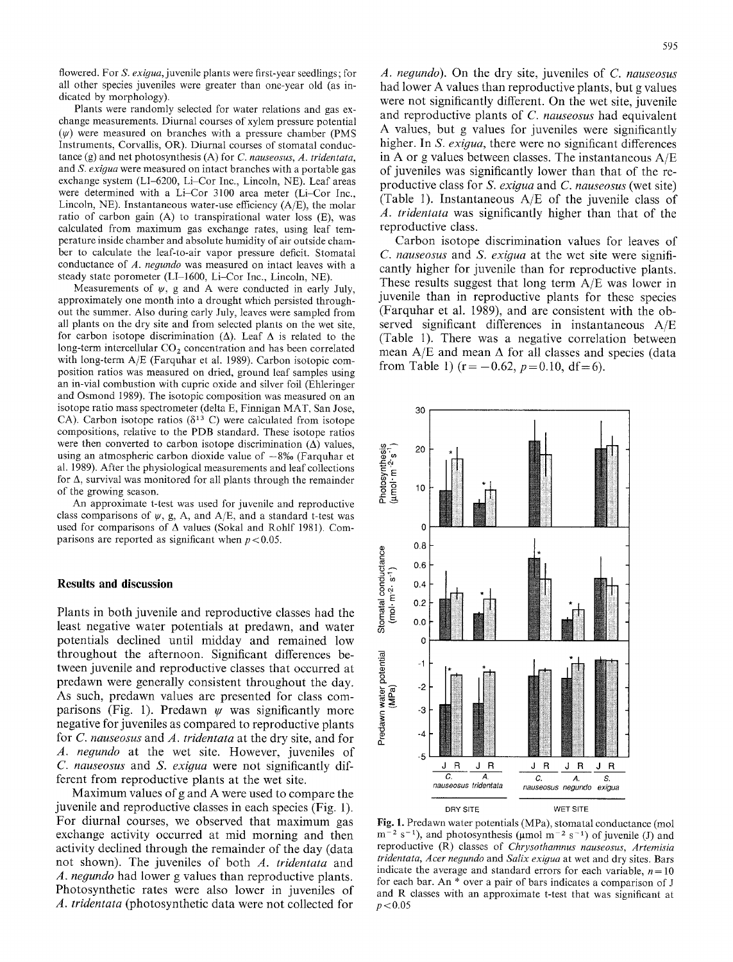flowered. For *S. exigua,* juvenile plants were first-year seedlings; for all other species juveniles were greater than one-year old (as indicated by morphology).

Plants were randomly selected for water relations and gas exchange measurements. Diurnal courses of xylem pressure potential  $(\psi)$  were measured on branches with a pressure chamber (PMS Instruments, Corvallis, OR). Diurnal courses of stomatal conductance (g) and net photosynthesis (A) for *C. nauseosus, A. tridentata,*  and *S. exigua* were measured on intact branches with a portable gas exchange system (LI-6200, Li-Cor Inc., Lincoln, NE). Leaf areas were determined with a Li-Cor 3100 area meter (Li-Cor Inc., Lincoln, NE). Instantaneous water-use efficiency  $(A/E)$ , the molar ratio of carbon gain (A) to transpirational water loss (E), was calculated from maximum gas exchange rates, using leaf temperature inside chamber and absolute humidity of air outside chamber to calculate the leaf-to-air vapor pressure deficit. Stomatal conductance of *A. negundo* was measured on intact leaves with a steady state porometer (LI-1600, Li-Cor Inc., Lincoln, NE).

Measurements of  $\psi$ , g and A were conducted in early July, approximately one month into a drought which persisted throughout the summer. Also during early July, leaves were sampled from all plants on the dry site and from selected plants on the wet site, for carbon isotope discrimination  $(\Delta)$ . Leaf  $\Delta$  is related to the long-term intercellular CO<sub>2</sub> concentration and has been correlated with long-term A/E (Farquhar et al. 1989). Carbon isotopic composition ratios was measured on dried, ground leaf samples using an in-vial combustion with cupric oxide and silver foil (Ehleringer and Osmond 1989). The isotopic composition was measured on an isotope ratio mass spectrometer (delta E, Finnigan MAT, San Jose, CA). Carbon isotope ratios ( $\delta^{13}$  C) were calculated from isotope compositions, relative to the PDB standard. These isotope ratios were then converted to carbon isotope discrimination  $(\Delta)$  values, using an atmospheric carbon dioxide value of  $-8\%$  (Farquhar et al. 1989). After the physiological measurements and leaf collections for  $\Delta$ , survival was monitored for all plants through the remainder of the growing season.

An approximate t-test was used for juvenile and reproductive class comparisons of  $\psi$ , g, A, and A/E, and a standard t-test was used for comparisons of A values (Sokal and Rohlf 1981). Comparisons are reported as significant when  $p < 0.05$ .

#### **Results and discussion**

Plants in both juvenile and reproductive classes had the least negative water potentials at predawn, and water potentials declined until midday and remained low throughout the afternoon. Significant differences between juvenile and reproductive classes that occurred at predawn were generally consistent throughout the day. As such, predawn values are presented for class comparisons (Fig. 1). Predawn  $\psi$  was significantly more negative for juveniles as compared to reproductive plants for *C. nauseosus* and *A. tridentata* at the dry site, and for *A. negundo* at the wet site. However, juveniles of *C. nauseosus* and *S. exigua* were not significantly different from reproductive plants at the wet site.

Maximum values of g and A were used to compare the juvenile and reproductive classes in each species (Fig. 1). For diurnal courses, we observed that maximum gas exchange activity occurred at mid morning and then activity declined through the remainder of the day (data not shown). The juveniles of both *A. tridentata* and *A. negundo* had lower g values than reproductive plants. Photosynthetic rates were also lower in juveniles of *A. tridentata* (photosynthetic data were not collected for

*A. negundo).* On the dry site, juveniles of *C. nauseosus*  had lower A values than reproductive plants, but g values were not significantly different. On the wet site, juvenile and reproductive plants of *C. nauseosus* had equivalent A values, but g values for juveniles were significantly higher. In *S. exigua,* there were no significant differences in A or g values between classes. The instantaneous A/E of juveniles was significantly lower than that of the reproductive class for *S. exigua* and *C. nauseosus* (wet site) (Table 1). Instantaneous A/E of the juvenile class of *A. tridentata* was significantly higher than that of the reproductive class.

Carbon isotope discrimination values for leaves of *C. nauseosus* and *S. exigua* at the wet site were significantly higher for juvenile than for reproductive plants. These results suggest that long term A/E was lower in juvenile than in reproductive plants for these species (Farquhar et al. 1989), and are consistent with the observed significant differences in instantaneous A/E (Table 1). There was a negative correlation between mean  $A/E$  and mean  $\Delta$  for all classes and species (data from Table 1) ( $r = -0.62$ ,  $p = 0.10$ , df = 6).



Fig. 1. Predawn water potentials (MPa), stomatal conductance (mol  $m^{-2}$  s<sup>-1</sup>), and photosynthesis ( $\mu$ mol m<sup>-2</sup> s<sup>-1</sup>) of juvenile (J) and reproductive (R) classes of *Chrysothamnus nauseosus, Artemisia tridentata, Acer negundo* and *Salix exigua* at wet and dry sites. Bars indicate the average and standard errors for each variable,  $n = 10$ for each bar. An \* over a pair of bars indicates a comparison of J and R classes with an approximate t-test that was significant at  $p < 0.05$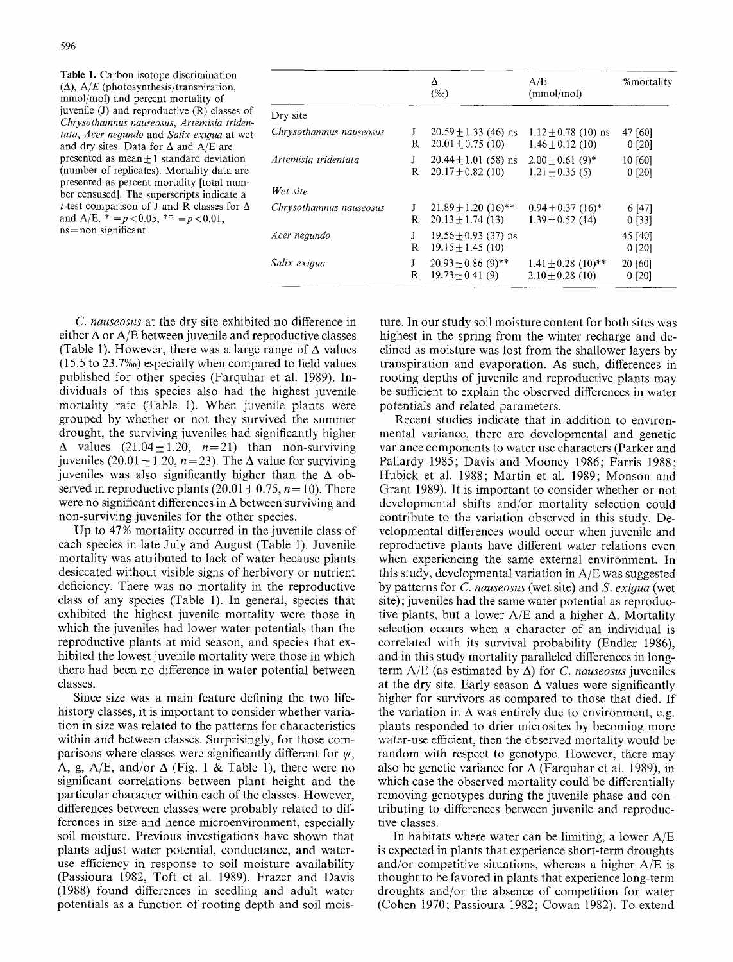|                         |        | Δ<br>$(\%0)$                                                 | A/E<br>(mmol/mol)                            | %mortality        |
|-------------------------|--------|--------------------------------------------------------------|----------------------------------------------|-------------------|
| Dry site                |        |                                                              |                                              |                   |
| Chrysothamnus nauseosus | J<br>R | $20.59 \pm 1.33$ (46) ns<br>$20.01 \pm 0.75$ (10)            | $1.12 + 0.78$ (10) ns<br>$1.46 + 0.12(10)$   | 47 [60]<br>0 [20] |
| Artemisia tridentata    | J<br>R | $20.44 \pm 1.01$ (58) ns<br>$20.17 \pm 0.82$ (10)            | $2.00 + 0.61(9)^*$<br>$1.21 \pm 0.35$ (5)    | 10 [60]<br>0 [20] |
| Wet site                |        |                                                              |                                              |                   |
| Chrysothamnus nauseosus | J<br>R | $21.89 \pm 1.20$ (16) <sup>**</sup><br>$20.13 \pm 1.74$ (13) | $0.94 \pm 0.37$ (16)*<br>$1.39 + 0.52$ (14)  | 6 [47]<br>0 [33]  |
| Acer negundo            | J<br>R | $19.56 \pm 0.93$ (37) ns<br>$19.15 + 1.45(10)$               |                                              | 45 [40]<br>0 [20] |
| Salix exigua            | J<br>R | $20.93 + 0.86$ (9)**<br>$19.73 + 0.41(9)$                    | $1.41 + 0.28$ (10)**<br>$2.10 \pm 0.28$ (10) | 20 [60]<br>0 [20] |

*C. nauseosus* at the dry site exhibited no difference in either  $\Delta$  or A/E between juvenile and reproductive classes (Table 1). However, there was a large range of  $\Delta$  values (15.5 to 23.7%o) especially when compared to field values published for other species (Farquhar et al. 1989). Individuals of this species also had the highest juvenile mortality rate (Table 1). When juvenile plants were grouped by whether or not they survived the summer drought, the surviving juveniles had significantly higher  $\Delta$  values (21.04+1.20, n=21) than non-surviving juveniles (20.01 + 1.20,  $n = 23$ ). The  $\Delta$  value for surviving juveniles was also significantly higher than the  $\Delta$  observed in reproductive plants  $(20.01 \pm 0.75, n = 10)$ . There were no significant differences in  $\Delta$  between surviving and non-surviving juveniles for the other species.

Up to 47% mortality occurred in the juvenile class of each species in late July and August (Table 1). Juvenile mortality was attributed to lack of water because plants desiccated without visible signs of herbivory or nutrient deficiency. There was no mortality in the reproductive class of any species (Table 1). In general, species that exhibited the highest juvenile mortality were those in which the juveniles had lower water potentials than the reproductive plants at mid season, and species that exhibited the lowest juvenile mortality were those in which there had been no difference in water potential between classes.

Since size was a main feature defining the two lifehistory classes, it is important to consider whether variation in size was related to the patterns for characteristics within and between classes. Surprisingly, for those comparisons where classes were significantly different for  $\psi$ , A, g, A/E, and/or  $\Delta$  (Fig. 1 & Table 1), there were no significant correlations between plant height and the particular character within each of the classes. However, differences between classes were probably related to differences in size and hence microenvironment, especially soil moisture. Previous investigations have shown that plants adjust water potential, conductance, and wateruse efficiency in response to soil moisture availability (Passioura 1982, Toft et al. 1989). Frazer and Davis (1988) found differences in seedling and adult water potentials as a function of rooting depth and soil mois-

ture. In our study soil moisture content for both sites was highest in the spring from the winter recharge and declined as moisture was lost from the shallower layers by transpiration and evaporation. As such, differences in rooting depths of juvenile and reproductive plants may be sufficient to explain the observed differences in water potentials and related parameters.

Recent studies indicate that in addition to environmental variance, there are developmental and genetic variance components to water use characters (Parker and Pallardy 1985; Davis and Mooney 1986; Farris 1988; Hubick et al. 1988; Martin et al. 1989; Monson and Grant 1989). It is important to consider whether or not developmental shifts and/or mortality selection could contribute to the variation observed in this study. Developmental differences would occur when juvenile and reproductive plants have different water relations even when experiencing the same external environment. In this study, developmental variation in A/E was suggested by patterns for *C. nauseosus* (wet site) and *S. exigua* (wet site); juveniles had the same water potential as reproductive plants, but a lower  $A/E$  and a higher  $\Delta$ . Mortality selection occurs when a character of an individual is correlated with its survival probability (Endler 1986), and in this study mortality paralleled differences in longterm  $A/E$  (as estimated by  $\Delta$ ) for *C. nauseosus* juveniles at the dry site. Early season  $\Delta$  values were significantly higher for survivors as compared to those that died. If the variation in  $\Delta$  was entirely due to environment, e.g. plants responded to drier microsites by becoming more water-use efficient, then the observed mortality would be random with respect to genotype. However, there may also be genetic variance for  $\Delta$  (Farquhar et al. 1989), in which case the observed mortality could be differentially removing genotypes during the juvenile phase and contributing to differences between juvenile and reproductive classes.

In habitats where water can be limiting, a lower  $A/E$ is expected in plants that experience short-term droughts and/or competitive situations, whereas a higher A/E is thought to be favored in plants that experience long-term droughts and/or the absence of competition for water (Cohen 1970; Passioura 1982; Cowan 1982). To extend